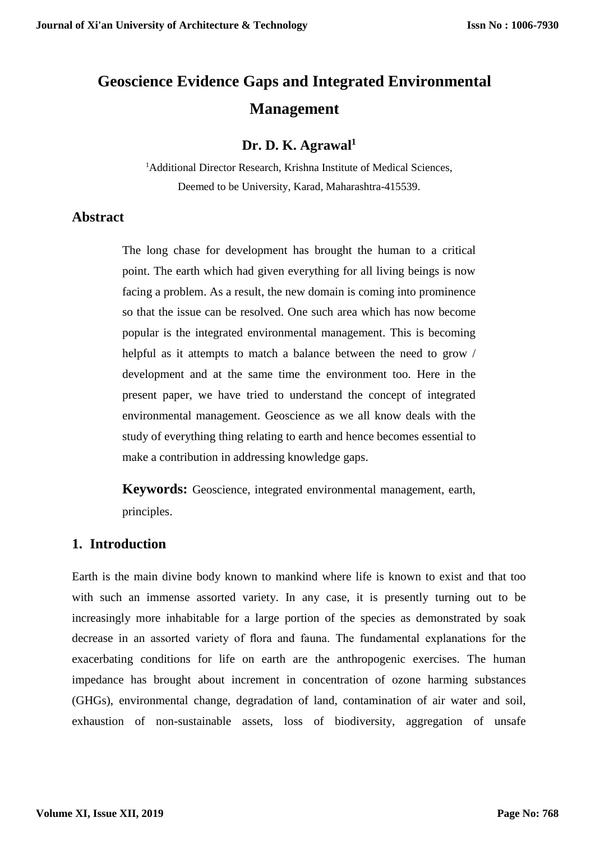# **Geoscience Evidence Gaps and Integrated Environmental Management**

### **Dr. D. K. Agrawal<sup>1</sup>**

<sup>1</sup>Additional Director Research, Krishna Institute of Medical Sciences, Deemed to be University, Karad, Maharashtra-415539.

#### **Abstract**

The long chase for development has brought the human to a critical point. The earth which had given everything for all living beings is now facing a problem. As a result, the new domain is coming into prominence so that the issue can be resolved. One such area which has now become popular is the integrated environmental management. This is becoming helpful as it attempts to match a balance between the need to grow / development and at the same time the environment too. Here in the present paper, we have tried to understand the concept of integrated environmental management. Geoscience as we all know deals with the study of everything thing relating to earth and hence becomes essential to make a contribution in addressing knowledge gaps.

**Keywords:** Geoscience, integrated environmental management, earth, principles.

### **1. Introduction**

Earth is the main divine body known to mankind where life is known to exist and that too with such an immense assorted variety. In any case, it is presently turning out to be increasingly more inhabitable for a large portion of the species as demonstrated by soak decrease in an assorted variety of flora and fauna. The fundamental explanations for the exacerbating conditions for life on earth are the anthropogenic exercises. The human impedance has brought about increment in concentration of ozone harming substances (GHGs), environmental change, degradation of land, contamination of air water and soil, exhaustion of non-sustainable assets, loss of biodiversity, aggregation of unsafe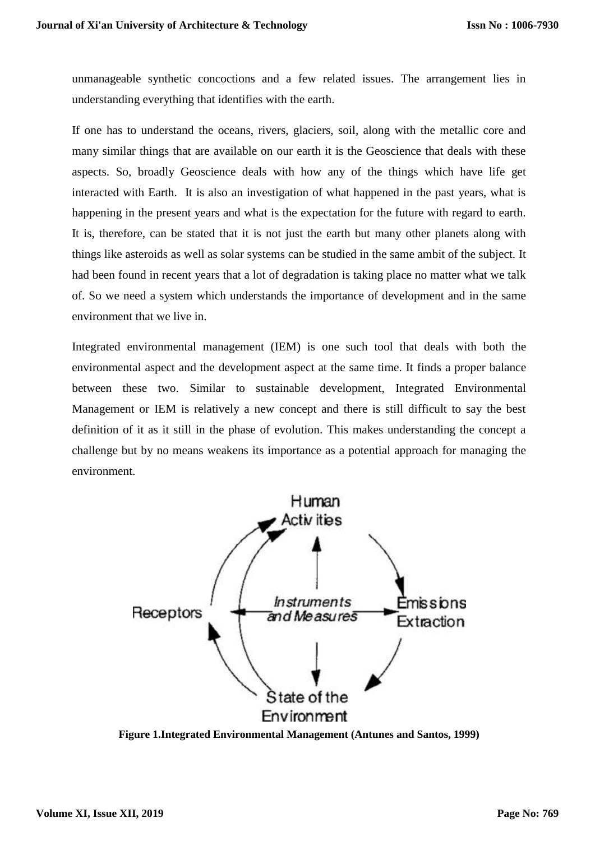unmanageable synthetic concoctions and a few related issues. The arrangement lies in understanding everything that identifies with the earth.

If one has to understand the oceans, rivers, glaciers, soil, along with the metallic core and many similar things that are available on our earth it is the Geoscience that deals with these aspects. So, broadly Geoscience deals with how any of the things which have life get interacted with Earth. It is also an investigation of what happened in the past years, what is happening in the present years and what is the expectation for the future with regard to earth. It is, therefore, can be stated that it is not just the earth but many other planets along with things like asteroids as well as solar systems can be studied in the same ambit of the subject. It had been found in recent years that a lot of degradation is taking place no matter what we talk of. So we need a system which understands the importance of development and in the same environment that we live in.

Integrated environmental management (IEM) is one such tool that deals with both the environmental aspect and the development aspect at the same time. It finds a proper balance between these two. Similar to sustainable development, Integrated Environmental Management or IEM is relatively a new concept and there is still difficult to say the best definition of it as it still in the phase of evolution. This makes understanding the concept a challenge but by no means weakens its importance as a potential approach for managing the environment.



**Figure 1.Integrated Environmental Management (Antunes and Santos, 1999)**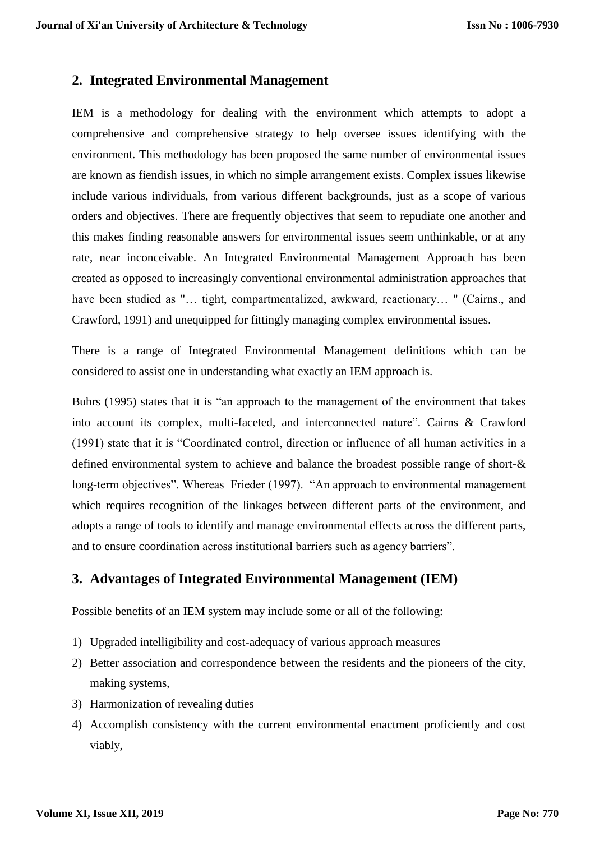### **2. Integrated Environmental Management**

IEM is a methodology for dealing with the environment which attempts to adopt a comprehensive and comprehensive strategy to help oversee issues identifying with the environment. This methodology has been proposed the same number of environmental issues are known as fiendish issues, in which no simple arrangement exists. Complex issues likewise include various individuals, from various different backgrounds, just as a scope of various orders and objectives. There are frequently objectives that seem to repudiate one another and this makes finding reasonable answers for environmental issues seem unthinkable, or at any rate, near inconceivable. An Integrated Environmental Management Approach has been created as opposed to increasingly conventional environmental administration approaches that have been studied as "... tight, compartmentalized, awkward, reactionary... " (Cairns., and Crawford, 1991) and unequipped for fittingly managing complex environmental issues.

There is a range of Integrated Environmental Management definitions which can be considered to assist one in understanding what exactly an IEM approach is.

Buhrs (1995) states that it is "an approach to the management of the environment that takes into account its complex, multi-faceted, and interconnected nature". Cairns & Crawford (1991) state that it is "Coordinated control, direction or influence of all human activities in a defined environmental system to achieve and balance the broadest possible range of short-& long-term objectives". Whereas Frieder (1997). "An approach to environmental management which requires recognition of the linkages between different parts of the environment, and adopts a range of tools to identify and manage environmental effects across the different parts, and to ensure coordination across institutional barriers such as agency barriers".

### **3. Advantages of Integrated Environmental Management (IEM)**

Possible benefits of an IEM system may include some or all of the following:

- 1) Upgraded intelligibility and cost-adequacy of various approach measures
- 2) Better association and correspondence between the residents and the pioneers of the city, making systems,
- 3) Harmonization of revealing duties
- 4) Accomplish consistency with the current environmental enactment proficiently and cost viably,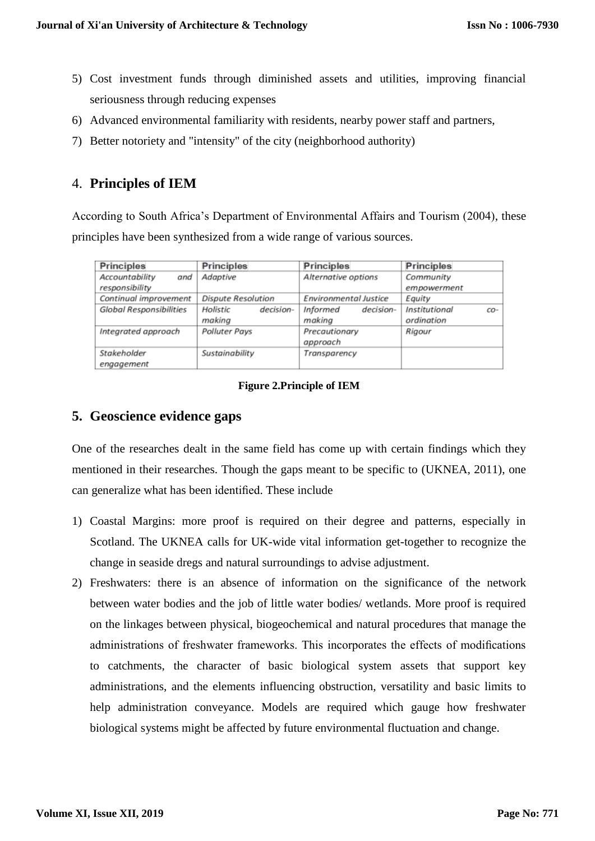- 5) Cost investment funds through diminished assets and utilities, improving financial seriousness through reducing expenses
- 6) Advanced environmental familiarity with residents, nearby power staff and partners,
- 7) Better notoriety and "intensity" of the city (neighborhood authority)

## 4. **Principles of IEM**

According to South Africa's Department of Environmental Affairs and Tourism (2004), these principles have been synthesized from a wide range of various sources.

| <b>Principles</b>                       | <b>Principles</b>               | <b>Principles</b>               | <b>Principles</b>                  |
|-----------------------------------------|---------------------------------|---------------------------------|------------------------------------|
| Accountability<br>and<br>responsibility | Adaptive                        | Alternative options             | Community<br>empowerment           |
| Continual improvement                   | <b>Dispute Resolution</b>       | <b>Environmental Justice</b>    | Equity                             |
| Global Responsibilities                 | decision-<br>Holistic<br>making | decision-<br>Informed<br>makina | Institutional<br>CO-<br>ordination |
| Integrated approach                     | Polluter Pays                   | Precautionary<br>approach       | Rigour                             |
| Stakeholder<br>engagement               | Sustainability                  | Transparency                    |                                    |

#### **Figure 2.Principle of IEM**

### **5. Geoscience evidence gaps**

One of the researches dealt in the same field has come up with certain findings which they mentioned in their researches. Though the gaps meant to be specific to (UKNEA, 2011), one can generalize what has been identified. These include

- 1) Coastal Margins: more proof is required on their degree and patterns, especially in Scotland. The UKNEA calls for UK-wide vital information get-together to recognize the change in seaside dregs and natural surroundings to advise adjustment.
- 2) Freshwaters: there is an absence of information on the significance of the network between water bodies and the job of little water bodies/ wetlands. More proof is required on the linkages between physical, biogeochemical and natural procedures that manage the administrations of freshwater frameworks. This incorporates the effects of modifications to catchments, the character of basic biological system assets that support key administrations, and the elements influencing obstruction, versatility and basic limits to help administration conveyance. Models are required which gauge how freshwater biological systems might be affected by future environmental fluctuation and change.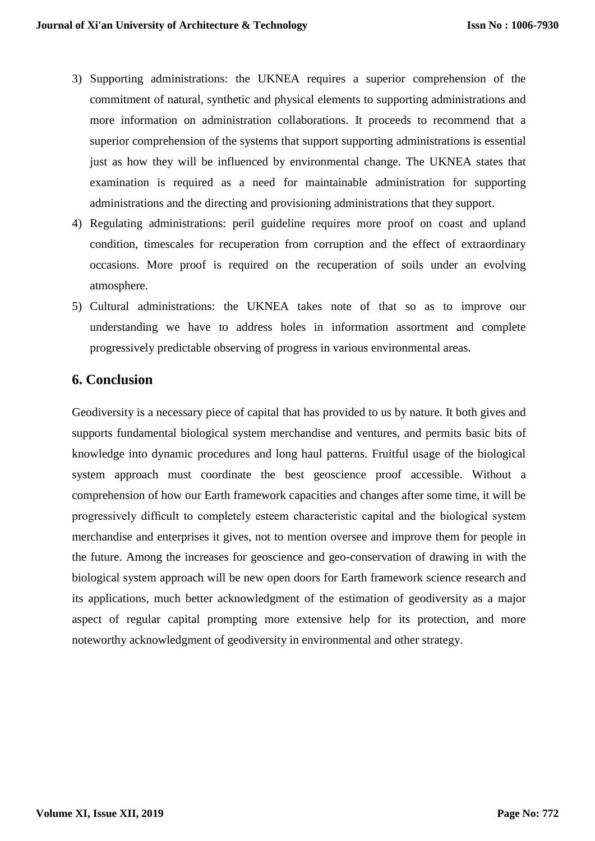- 3) Supporting administrations: the UKNEA requires a superior comprehension of the commitment of natural, synthetic and physical elements to supporting administrations and more information on administration collaborations. It proceeds to recommend that a superior comprehension of the systems that support supporting administrations is essential just as how they will be influenced by environmental change. The UKNEA states that examination is required as a need for maintainable administration for supporting administrations and the directing and provisioning administrations that they support.
- 4) Regulating administrations: peril guideline requires more proof on coast and upland condition, timescales for recuperation from corruption and the effect of extraordinary occasions. More proof is required on the recuperation of soils under an evolving atmosphere.
- 5) Cultural administrations: the UKNEA takes note of that so as to improve our understanding we have to address holes in information assortment and complete progressively predictable observing of progress in various environmental areas.

#### **6. Conclusion**

Geodiversity is a necessary piece of capital that has provided to us by nature. It both gives and supports fundamental biological system merchandise and ventures, and permits basic bits of knowledge into dynamic procedures and long haul patterns. Fruitful usage of the biological system approach must coordinate the best geoscience proof accessible. Without a comprehension of how our Earth framework capacities and changes after some time, it will be progressively difficult to completely esteem characteristic capital and the biological system merchandise and enterprises it gives, not to mention oversee and improve them for people in the future. Among the increases for geoscience and geo-conservation of drawing in with the biological system approach will be new open doors for Earth framework science research and its applications, much better acknowledgment of the estimation of geodiversity as a major aspect of regular capital prompting more extensive help for its protection, and more noteworthy acknowledgment of geodiversity in environmental and other strategy.